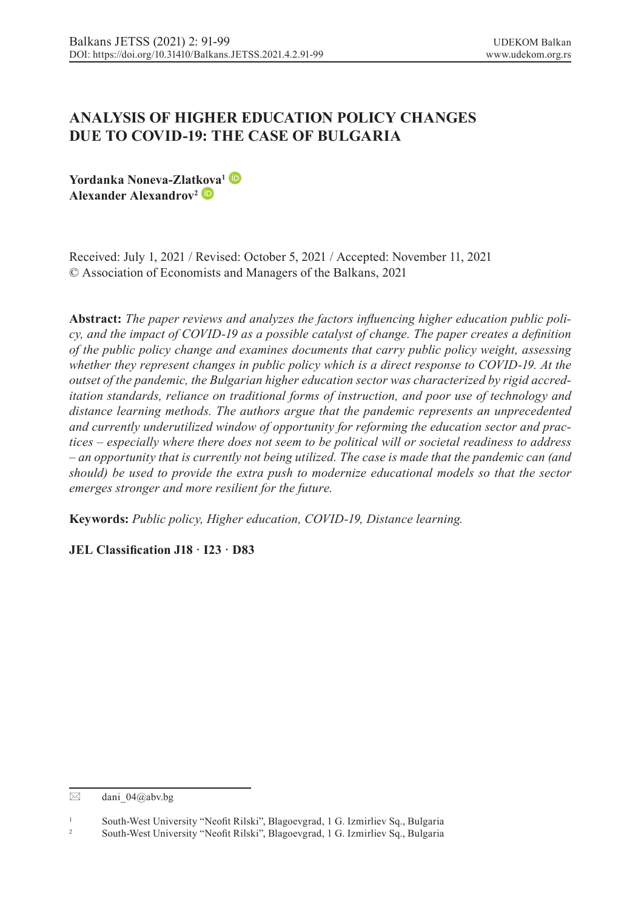# **ANALYSIS OF HIGHER EDUCATION POLICY CHANGES DUE TO COVID-19: THE CASE OF BULGARIA**

**Yordanka Noneva-Zlat[kov](https://orcid.org/0000-0003-2855-4016)a1 Alexander Alexandrov2**

Received: July 1, 2021 / Revised: October 5, 2021 / Accepted: November 11, 2021 © Association of Economists and Managers of the Balkans, 2021

**Abstract:** *The paper reviews and analyzes the factors influencing higher education public policy, and the impact of COVID-19 as a possible catalyst of change. The paper creates a definition of the public policy change and examines documents that carry public policy weight, assessing whether they represent changes in public policy which is a direct response to COVID-19. At the outset of the pandemic, the Bulgarian higher education sector was characterized by rigid accreditation standards, reliance on traditional forms of instruction, and poor use of technology and distance learning methods. The authors argue that the pandemic represents an unprecedented and currently underutilized window of opportunity for reforming the education sector and practices – especially where there does not seem to be political will or societal readiness to address – an opportunity that is currently not being utilized. The case is made that the pandemic can (and should) be used to provide the extra push to modernize educational models so that the sector emerges stronger and more resilient for the future.*

**Keywords:** *Public policy, Higher education, COVID-19, Distance learning.*

**JEL Classification J18 · I23 · D83**

 $\boxtimes$  dani 04@abv.bg

<sup>&</sup>lt;sup>1</sup> South-West University "Neofit Rilski", Blagoevgrad, 1 G. Izmirliev Sq., Bulgaria<sup>2</sup>

<sup>2</sup> South-West University "Neofit Rilski", Blagoevgrad, 1 G. Izmirliev Sq., Bulgaria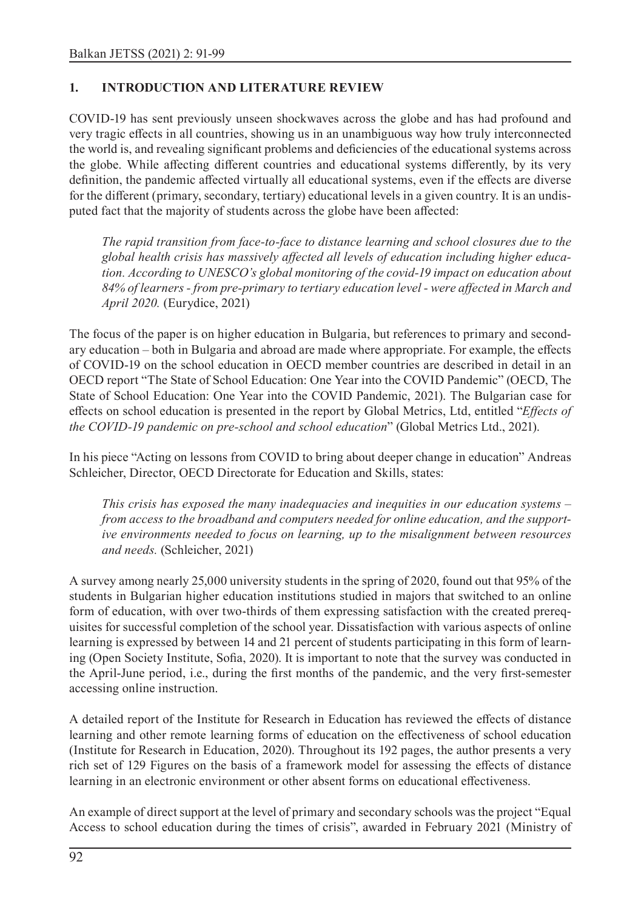#### **1. INTRODUCTION AND LITERATURE REVIEW**

COVID-19 has sent previously unseen shockwaves across the globe and has had profound and very tragic effects in all countries, showing us in an unambiguous way how truly interconnected the world is, and revealing significant problems and deficiencies of the educational systems across the globe. While affecting different countries and educational systems differently, by its very definition, the pandemic affected virtually all educational systems, even if the effects are diverse for the different (primary, secondary, tertiary) educational levels in a given country. It is an undisputed fact that the majority of students across the globe have been affected:

*The rapid transition from face-to-face to distance learning and school closures due to the global health crisis has massively affected all levels of education including higher education. According to UNESCO's global monitoring of the covid-19 impact on education about 84% of learners - from pre-primary to tertiary education level - were affected in March and April 2020.* (Eurydice, 2021)

The focus of the paper is on higher education in Bulgaria, but references to primary and secondary education – both in Bulgaria and abroad are made where appropriate. For example, the effects of COVID-19 on the school education in OECD member countries are described in detail in an OECD report "The State of School Education: One Year into the COVID Pandemic" (OECD, The State of School Education: One Year into the COVID Pandemic, 2021). The Bulgarian case for effects on school education is presented in the report by Global Metrics, Ltd, entitled "*Effects of the COVID-19 pandemic on pre-school and school education*" (Global Metrics Ltd., 2021).

In his piece "Acting on lessons from COVID to bring about deeper change in education" Andreas Schleicher, Director, OECD Directorate for Education and Skills, states:

*This crisis has exposed the many inadequacies and inequities in our education systems – from access to the broadband and computers needed for online education, and the supportive environments needed to focus on learning, up to the misalignment between resources and needs.* (Schleicher, 2021)

A survey among nearly 25,000 university students in the spring of 2020, found out that 95% of the students in Bulgarian higher education institutions studied in majors that switched to an online form of education, with over two-thirds of them expressing satisfaction with the created prerequisites for successful completion of the school year. Dissatisfaction with various aspects of online learning is expressed by between 14 and 21 percent of students participating in this form of learning (Open Society Institute, Sofia, 2020). It is important to note that the survey was conducted in the April-June period, i.e., during the first months of the pandemic, and the very first-semester accessing online instruction.

A detailed report of the Institute for Research in Education has reviewed the effects of distance learning and other remote learning forms of education on the effectiveness of school education (Institute for Research in Education, 2020). Throughout its 192 pages, the author presents a very rich set of 129 Figures on the basis of a framework model for assessing the effects of distance learning in an electronic environment or other absent forms on educational effectiveness.

An example of direct support at the level of primary and secondary schools was the project "Equal Access to school education during the times of crisis", awarded in February 2021 (Ministry of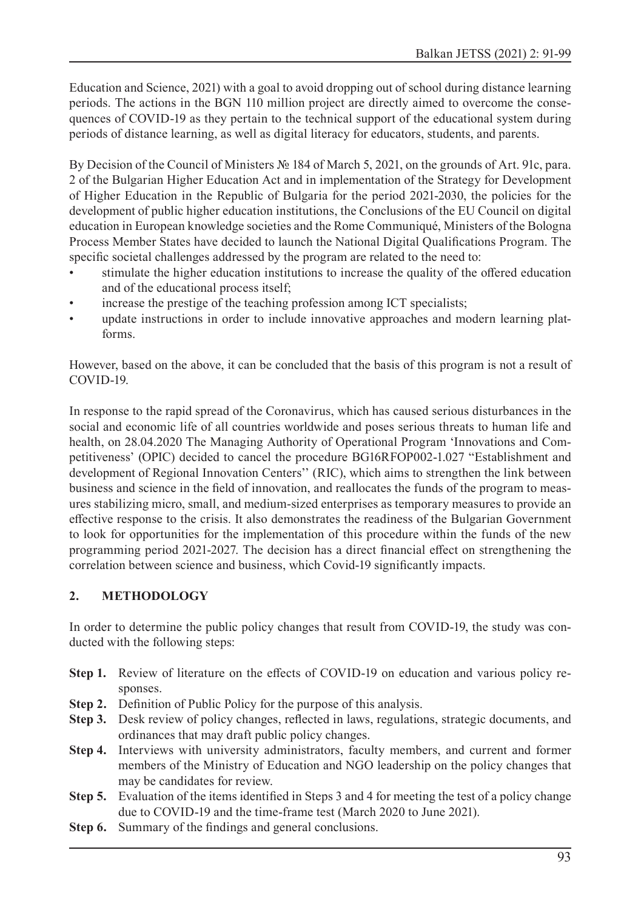Education and Science, 2021) with a goal to avoid dropping out of school during distance learning periods. The actions in the BGN 110 million project are directly aimed to overcome the consequences of COVID-19 as they pertain to the technical support of the educational system during periods of distance learning, as well as digital literacy for educators, students, and parents.

By Decision of the Council of Ministers № 184 of March 5, 2021, on the grounds of Art. 91c, para. 2 of the Bulgarian Higher Education Act and in implementation of the Strategy for Development of Higher Education in the Republic of Bulgaria for the period 2021-2030, the policies for the development of public higher education institutions, the Conclusions of the EU Council on digital education in European knowledge societies and the Rome Communiqué, Ministers of the Bologna Process Member States have decided to launch the National Digital Qualifications Program. The specific societal challenges addressed by the program are related to the need to:

- stimulate the higher education institutions to increase the quality of the offered education and of the educational process itself;
- increase the prestige of the teaching profession among ICT specialists;
- update instructions in order to include innovative approaches and modern learning platforms.

However, based on the above, it can be concluded that the basis of this program is not a result of COVID-19.

In response to the rapid spread of the Coronavirus, which has caused serious disturbances in the social and economic life of all countries worldwide and poses serious threats to human life and health, on 28.04.2020 The Managing Authority of Operational Program 'Innovations and Competitiveness' (OPIC) decided to cancel the procedure BG16RFOP002-1.027 "Establishment and development of Regional Innovation Centers'' (RIC), which aims to strengthen the link between business and science in the field of innovation, and reallocates the funds of the program to measures stabilizing micro, small, and medium-sized enterprises as temporary measures to provide an effective response to the crisis. It also demonstrates the readiness of the Bulgarian Government to look for opportunities for the implementation of this procedure within the funds of the new programming period 2021-2027. The decision has a direct financial effect on strengthening the correlation between science and business, which Covid-19 significantly impacts.

## **2. METHODOLOGY**

In order to determine the public policy changes that result from COVID-19, the study was conducted with the following steps:

- **Step 1.** Review of literature on the effects of COVID-19 on education and various policy responses.
- **Step 2.** Definition of Public Policy for the purpose of this analysis.
- **Step 3.** Desk review of policy changes, reflected in laws, regulations, strategic documents, and ordinances that may draft public policy changes.
- **Step 4.** Interviews with university administrators, faculty members, and current and former members of the Ministry of Education and NGO leadership on the policy changes that may be candidates for review.
- **Step 5.** Evaluation of the items identified in Steps 3 and 4 for meeting the test of a policy change due to COVID-19 and the time-frame test (March 2020 to June 2021).
- **Step 6.** Summary of the findings and general conclusions.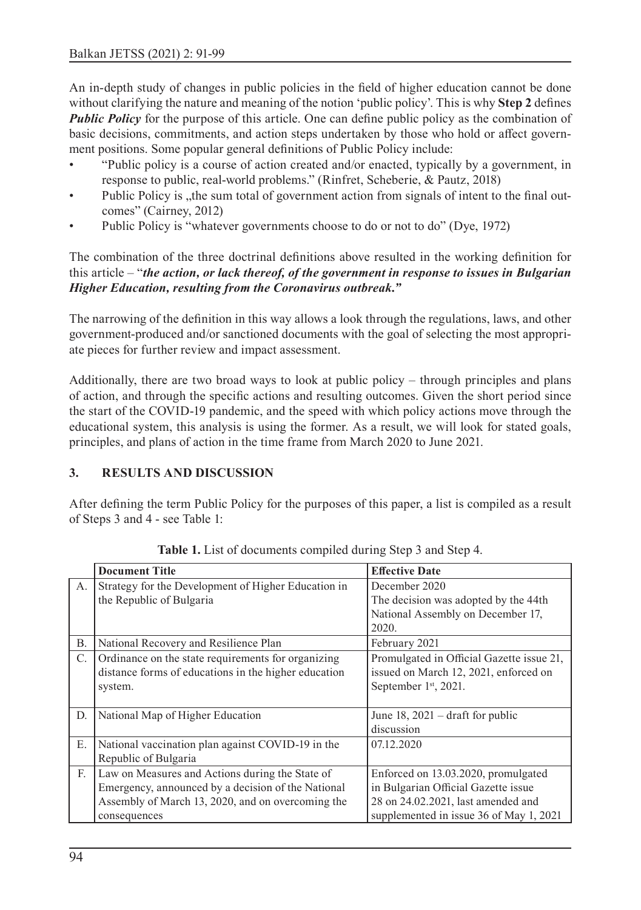An in-depth study of changes in public policies in the field of higher education cannot be done without clarifying the nature and meaning of the notion 'public policy'. This is why **Step 2** defines *Public Policy* for the purpose of this article. One can define public policy as the combination of basic decisions, commitments, and action steps undertaken by those who hold or affect government positions. Some popular general definitions of Public Policy include:

- "Public policy is a course of action created and/or enacted, typically by a government, in response to public, real-world problems." (Rinfret, Scheberie, & Pautz, 2018)
- Public Policy is , the sum total of government action from signals of intent to the final outcomes" (Cairney, 2012)
- Public Policy is "whatever governments choose to do or not to do" (Dye, 1972)

The combination of the three doctrinal definitions above resulted in the working definition for this article – "*the action, or lack thereof, of the government in response to issues in Bulgarian Higher Education, resulting from the Coronavirus outbreak."*

The narrowing of the definition in this way allows a look through the regulations, laws, and other government-produced and/or sanctioned documents with the goal of selecting the most appropriate pieces for further review and impact assessment.

Additionally, there are two broad ways to look at public policy – through principles and plans of action, and through the specific actions and resulting outcomes. Given the short period since the start of the COVID-19 pandemic, and the speed with which policy actions move through the educational system, this analysis is using the former. As a result, we will look for stated goals, principles, and plans of action in the time frame from March 2020 to June 2021.

## **3. RESULTS AND DISCUSSION**

After defining the term Public Policy for the purposes of this paper, a list is compiled as a result of Steps 3 and 4 - see Table 1:

|    | <b>Document Title</b>                                                                                                                                                      | <b>Effective Date</b>                                                                                                                                       |
|----|----------------------------------------------------------------------------------------------------------------------------------------------------------------------------|-------------------------------------------------------------------------------------------------------------------------------------------------------------|
| A. | Strategy for the Development of Higher Education in<br>the Republic of Bulgaria                                                                                            | December 2020<br>The decision was adopted by the 44th<br>National Assembly on December 17,<br>2020.                                                         |
| Β. | National Recovery and Resilience Plan                                                                                                                                      | February 2021                                                                                                                                               |
| C. | Ordinance on the state requirements for organizing<br>distance forms of educations in the higher education<br>system.                                                      | Promulgated in Official Gazette issue 21,<br>issued on March 12, 2021, enforced on<br>September 1st, 2021.                                                  |
| D. | National Map of Higher Education                                                                                                                                           | June 18, $2021$ – draft for public<br>discussion                                                                                                            |
| Ε. | National vaccination plan against COVID-19 in the<br>Republic of Bulgaria                                                                                                  | 07.12.2020                                                                                                                                                  |
| F. | Law on Measures and Actions during the State of<br>Emergency, announced by a decision of the National<br>Assembly of March 13, 2020, and on overcoming the<br>consequences | Enforced on 13.03.2020, promulgated<br>in Bulgarian Official Gazette issue<br>28 on 24.02.2021, last amended and<br>supplemented in issue 36 of May 1, 2021 |

**Table 1.** List of documents compiled during Step 3 and Step 4.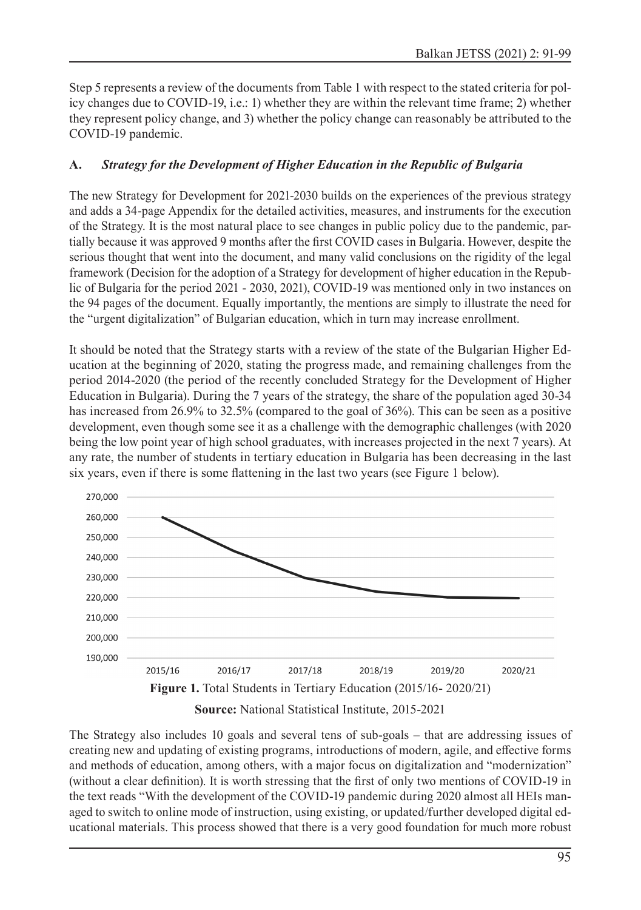Step 5 represents a review of the documents from Table 1 with respect to the stated criteria for policy changes due to COVID-19, i.e.: 1) whether they are within the relevant time frame; 2) whether they represent policy change, and 3) whether the policy change can reasonably be attributed to the COVID-19 pandemic.

#### **A.** *Strategy for the Development of Higher Education in the Republic of Bulgaria*

The new Strategy for Development for 2021-2030 builds on the experiences of the previous strategy and adds a 34-page Appendix for the detailed activities, measures, and instruments for the execution of the Strategy. It is the most natural place to see changes in public policy due to the pandemic, partially because it was approved 9 months after the first COVID cases in Bulgaria. However, despite the serious thought that went into the document, and many valid conclusions on the rigidity of the legal framework (Decision for the adoption of a Strategy for development of higher education in the Republic of Bulgaria for the period 2021 - 2030, 2021), COVID-19 was mentioned only in two instances on the 94 pages of the document. Equally importantly, the mentions are simply to illustrate the need for the "urgent digitalization" of Bulgarian education, which in turn may increase enrollment.

It should be noted that the Strategy starts with a review of the state of the Bulgarian Higher Education at the beginning of 2020, stating the progress made, and remaining challenges from the period 2014-2020 (the period of the recently concluded Strategy for the Development of Higher Education in Bulgaria). During the 7 years of the strategy, the share of the population aged 30-34 has increased from 26.9% to 32.5% (compared to the goal of 36%). This can be seen as a positive development, even though some see it as a challenge with the demographic challenges (with 2020 being the low point year of high school graduates, with increases projected in the next 7 years). At any rate, the number of students in tertiary education in Bulgaria has been decreasing in the last six years, even if there is some flattening in the last two years (see Figure 1 below).



**Source:** National Statistical Institute, 2015-2021

The Strategy also includes 10 goals and several tens of sub-goals – that are addressing issues of creating new and updating of existing programs, introductions of modern, agile, and effective forms and methods of education, among others, with a major focus on digitalization and "modernization" (without a clear definition). It is worth stressing that the first of only two mentions of COVID-19 in the text reads "With the development of the COVID-19 pandemic during 2020 almost all HEIs managed to switch to online mode of instruction, using existing, or updated/further developed digital educational materials. This process showed that there is a very good foundation for much more robust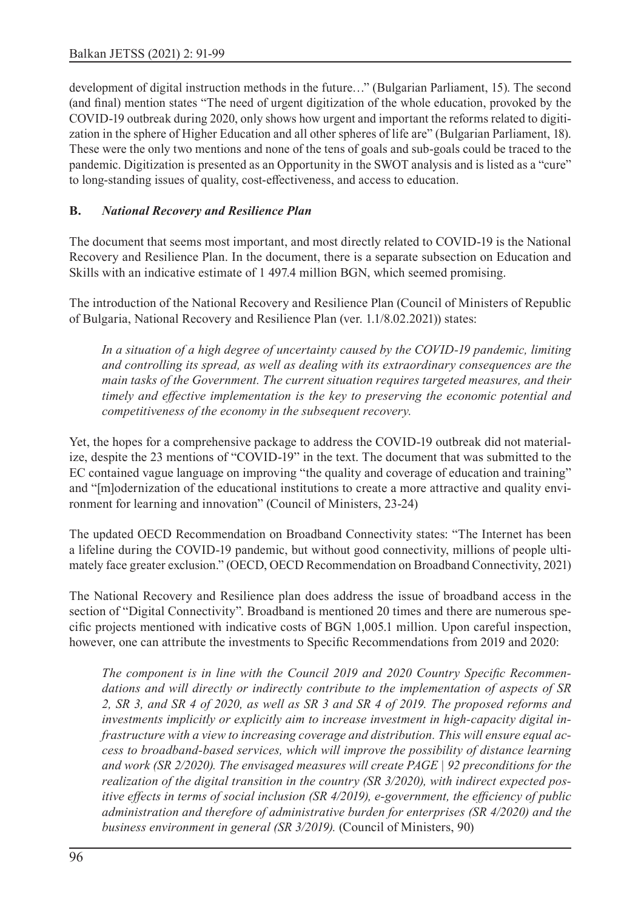development of digital instruction methods in the future…" (Bulgarian Parliament, 15). The second (and final) mention states "The need of urgent digitization of the whole education, provoked by the COVID-19 outbreak during 2020, only shows how urgent and important the reforms related to digitization in the sphere of Higher Education and all other spheres of life are" (Bulgarian Parliament, 18). These were the only two mentions and none of the tens of goals and sub-goals could be traced to the pandemic. Digitization is presented as an Opportunity in the SWOT analysis and is listed as a "cure" to long-standing issues of quality, cost-effectiveness, and access to education.

#### **B.** *National Recovery and Resilience Plan*

The document that seems most important, and most directly related to COVID-19 is the National Recovery and Resilience Plan. In the document, there is a separate subsection on Education and Skills with an indicative estimate of 1 497.4 million BGN, which seemed promising.

The introduction of the National Recovery and Resilience Plan (Council of Ministers of Republic of Bulgaria, National Recovery and Resilience Plan (ver. 1.1/8.02.2021)) states:

*In a situation of a high degree of uncertainty caused by the COVID-19 pandemic, limiting and controlling its spread, as well as dealing with its extraordinary consequences are the main tasks of the Government. The current situation requires targeted measures, and their timely and effective implementation is the key to preserving the economic potential and competitiveness of the economy in the subsequent recovery.*

Yet, the hopes for a comprehensive package to address the COVID-19 outbreak did not materialize, despite the 23 mentions of "COVID-19" in the text. The document that was submitted to the EC contained vague language on improving "the quality and coverage of education and training" and "[m]odernization of the educational institutions to create a more attractive and quality environment for learning and innovation" (Council of Ministers, 23-24)

The updated OECD Recommendation on Broadband Connectivity states: "The Internet has been a lifeline during the COVID-19 pandemic, but without good connectivity, millions of people ultimately face greater exclusion." (OECD, OECD Recommendation on Broadband Connectivity, 2021)

The National Recovery and Resilience plan does address the issue of broadband access in the section of "Digital Connectivity". Broadband is mentioned 20 times and there are numerous specific projects mentioned with indicative costs of BGN 1,005.1 million. Upon careful inspection, however, one can attribute the investments to Specific Recommendations from 2019 and 2020:

*The component is in line with the Council 2019 and 2020 Country Specific Recommendations and will directly or indirectly contribute to the implementation of aspects of SR 2, SR 3, and SR 4 of 2020, as well as SR 3 and SR 4 of 2019. The proposed reforms and investments implicitly or explicitly aim to increase investment in high-capacity digital infrastructure with a view to increasing coverage and distribution. This will ensure equal access to broadband-based services, which will improve the possibility of distance learning and work (SR 2/2020). The envisaged measures will create PAGE | 92 preconditions for the realization of the digital transition in the country (SR 3/2020), with indirect expected positive effects in terms of social inclusion (SR 4/2019), e-government, the efficiency of public administration and therefore of administrative burden for enterprises (SR 4/2020) and the business environment in general (SR 3/2019).* (Council of Ministers, 90)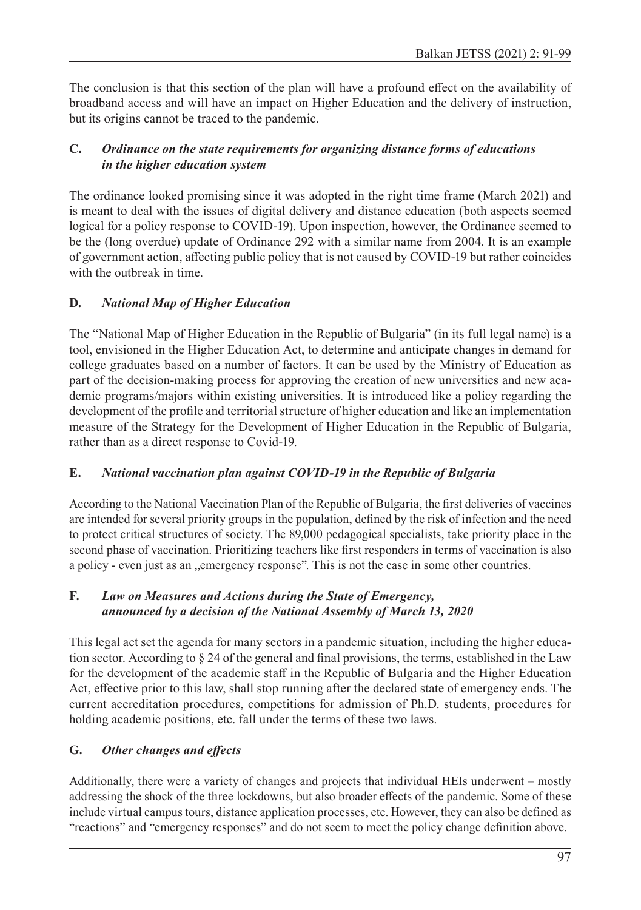The conclusion is that this section of the plan will have a profound effect on the availability of broadband access and will have an impact on Higher Education and the delivery of instruction, but its origins cannot be traced to the pandemic.

## **C.** *Ordinance on the state requirements for organizing distance forms of educations in the higher education system*

The ordinance looked promising since it was adopted in the right time frame (March 2021) and is meant to deal with the issues of digital delivery and distance education (both aspects seemed logical for a policy response to COVID-19). Upon inspection, however, the Ordinance seemed to be the (long overdue) update of Ordinance 292 with a similar name from 2004. It is an example of government action, affecting public policy that is not caused by COVID-19 but rather coincides with the outbreak in time.

## **D.** *National Map of Higher Education*

The "National Map of Higher Education in the Republic of Bulgaria" (in its full legal name) is a tool, envisioned in the Higher Education Act, to determine and anticipate changes in demand for college graduates based on a number of factors. It can be used by the Ministry of Education as part of the decision-making process for approving the creation of new universities and new academic programs/majors within existing universities. It is introduced like a policy regarding the development of the profile and territorial structure of higher education and like an implementation measure of the Strategy for the Development of Higher Education in the Republic of Bulgaria, rather than as a direct response to Covid-19.

## **E.** *National vaccination plan against COVID-19 in the Republic of Bulgaria*

According to the National Vaccination Plan of the Republic of Bulgaria, the first deliveries of vaccines are intended for several priority groups in the population, defined by the risk of infection and the need to protect critical structures of society. The 89,000 pedagogical specialists, take priority place in the second phase of vaccination. Prioritizing teachers like first responders in terms of vaccination is also a policy - even just as an "emergency response". This is not the case in some other countries.

#### **F.** *Law on Measures and Actions during the State of Emergency, announced by a decision of the National Assembly of March 13, 2020*

This legal act set the agenda for many sectors in a pandemic situation, including the higher education sector. According to § 24 of the general and final provisions, the terms, established in the Law for the development of the academic staff in the Republic of Bulgaria and the Higher Education Act, effective prior to this law, shall stop running after the declared state of emergency ends. The current accreditation procedures, competitions for admission of Ph.D. students, procedures for holding academic positions, etc. fall under the terms of these two laws.

## **G.** *Other changes and effects*

Additionally, there were a variety of changes and projects that individual HEIs underwent – mostly addressing the shock of the three lockdowns, but also broader effects of the pandemic. Some of these include virtual campus tours, distance application processes, etc. However, they can also be defined as "reactions" and "emergency responses" and do not seem to meet the policy change definition above.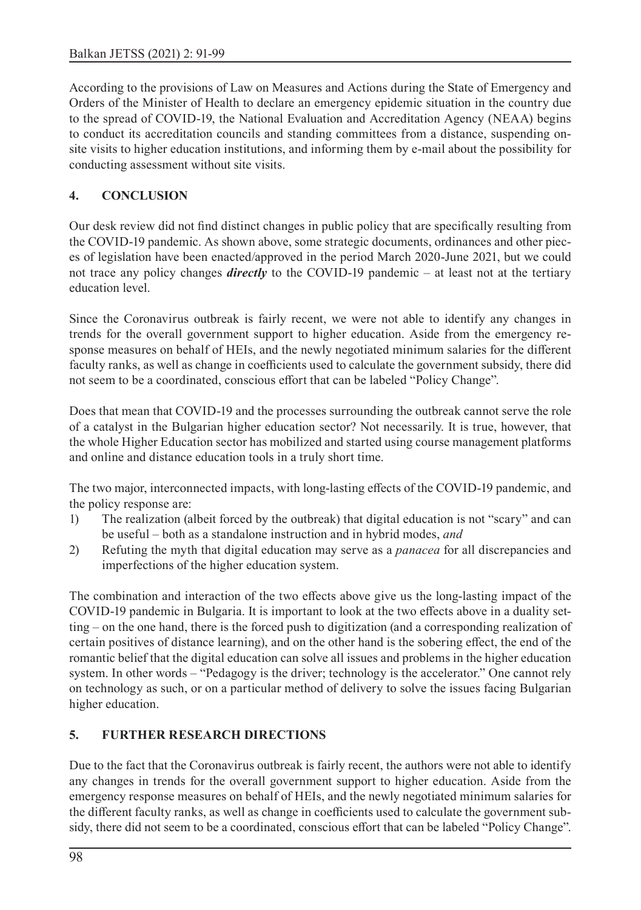According to the provisions of Law on Measures and Actions during the State of Emergency and Orders of the Minister of Health to declare an emergency epidemic situation in the country due to the spread of COVID-19, the National Evaluation and Accreditation Agency (NEAA) begins to conduct its accreditation councils and standing committees from a distance, suspending onsite visits to higher education institutions, and informing them by e-mail about the possibility for conducting assessment without site visits.

#### **4. CONCLUSION**

Our desk review did not find distinct changes in public policy that are specifically resulting from the COVID-19 pandemic. As shown above, some strategic documents, ordinances and other pieces of legislation have been enacted/approved in the period March 2020-June 2021, but we could not trace any policy changes *directly* to the COVID-19 pandemic – at least not at the tertiary education level.

Since the Coronavirus outbreak is fairly recent, we were not able to identify any changes in trends for the overall government support to higher education. Aside from the emergency response measures on behalf of HEIs, and the newly negotiated minimum salaries for the different faculty ranks, as well as change in coefficients used to calculate the government subsidy, there did not seem to be a coordinated, conscious effort that can be labeled "Policy Change".

Does that mean that COVID-19 and the processes surrounding the outbreak cannot serve the role of a catalyst in the Bulgarian higher education sector? Not necessarily. It is true, however, that the whole Higher Education sector has mobilized and started using course management platforms and online and distance education tools in a truly short time.

The two major, interconnected impacts, with long-lasting effects of the COVID-19 pandemic, and the policy response are:

- 1) The realization (albeit forced by the outbreak) that digital education is not "scary" and can be useful – both as a standalone instruction and in hybrid modes, *and*
- 2) Refuting the myth that digital education may serve as a *panacea* for all discrepancies and imperfections of the higher education system.

The combination and interaction of the two effects above give us the long-lasting impact of the COVID-19 pandemic in Bulgaria. It is important to look at the two effects above in a duality setting – on the one hand, there is the forced push to digitization (and a corresponding realization of certain positives of distance learning), and on the other hand is the sobering effect, the end of the romantic belief that the digital education can solve all issues and problems in the higher education system. In other words – "Pedagogy is the driver; technology is the accelerator." One cannot rely on technology as such, or on a particular method of delivery to solve the issues facing Bulgarian higher education.

## **5. FURTHER RESEARCH DIRECTIONS**

Due to the fact that the Coronavirus outbreak is fairly recent, the authors were not able to identify any changes in trends for the overall government support to higher education. Aside from the emergency response measures on behalf of HEIs, and the newly negotiated minimum salaries for the different faculty ranks, as well as change in coefficients used to calculate the government subsidy, there did not seem to be a coordinated, conscious effort that can be labeled "Policy Change".